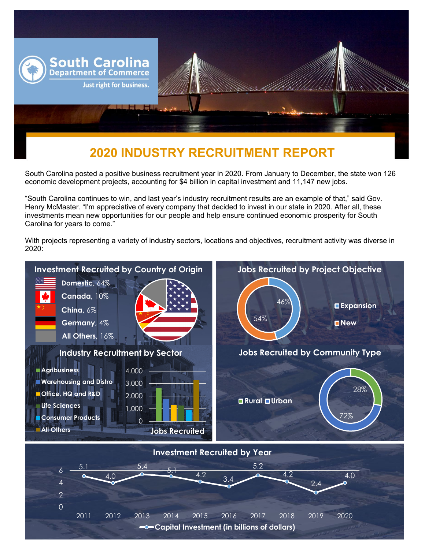

## **2020 INDUSTRY RECRUITMENT REPORT**

South Carolina posted a positive business recruitment year in 2020. From January to December, the state won 126 economic development projects, accounting for \$4 billion in capital investment and 11,147 new jobs.

"South Carolina continues to win, and last year's industry recruitment results are an example of that," said Gov. Henry McMaster. "I'm appreciative of every company that decided to invest in our state in 2020. After all, these investments mean new opportunities for our people and help ensure continued economic prosperity for South Carolina for years to come."

With projects representing a variety of industry sectors, locations and objectives, recruitment activity was diverse in 2020: